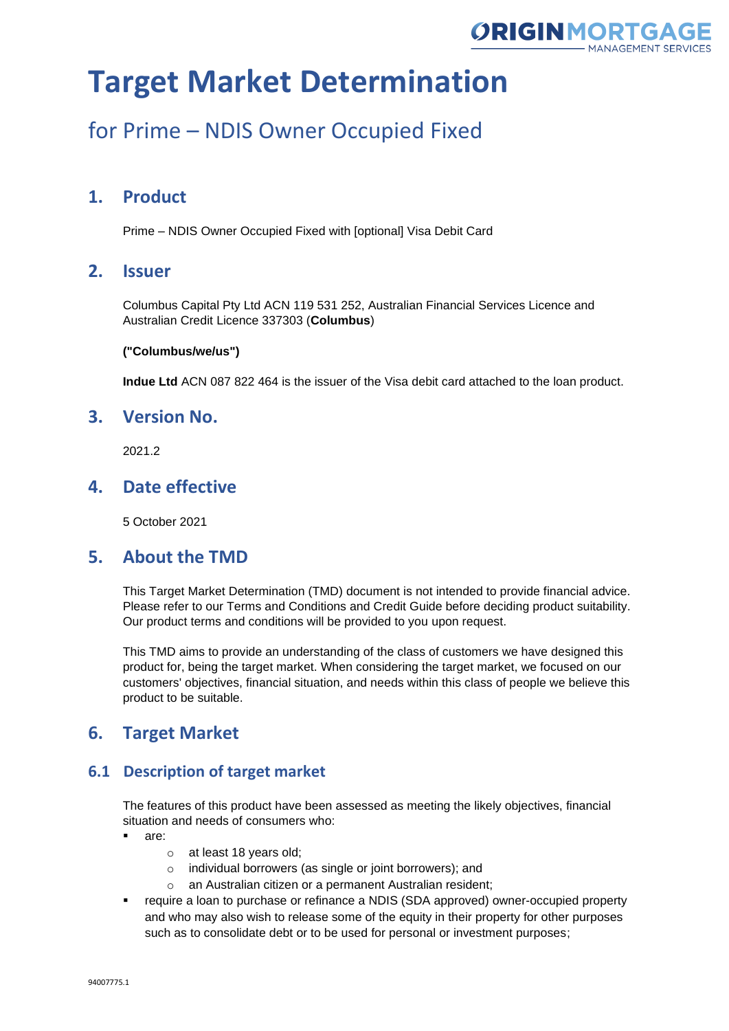

## for Prime – NDIS Owner Occupied Fixed

### **1. Product**

Prime – NDIS Owner Occupied Fixed with [optional] Visa Debit Card

### **2. Issuer**

Columbus Capital Pty Ltd ACN 119 531 252, Australian Financial Services Licence and Australian Credit Licence 337303 (**Columbus**)

#### **("Columbus/we/us")**

**Indue Ltd** ACN 087 822 464 is the issuer of the Visa debit card attached to the loan product.

### **3. Version No.**

2021.2

### **4. Date effective**

5 October 2021

### **5. About the TMD**

This Target Market Determination (TMD) document is not intended to provide financial advice. Please refer to our Terms and Conditions and Credit Guide before deciding product suitability. Our product terms and conditions will be provided to you upon request.

This TMD aims to provide an understanding of the class of customers we have designed this product for, being the target market. When considering the target market, we focused on our customers' objectives, financial situation, and needs within this class of people we believe this product to be suitable.

### **6. Target Market**

### **6.1 Description of target market**

The features of this product have been assessed as meeting the likely objectives, financial situation and needs of consumers who:

- are:
	- o at least 18 years old;
	- o individual borrowers (as single or joint borrowers); and
	- o an Australian citizen or a permanent Australian resident;
- require a loan to purchase or refinance a NDIS (SDA approved) owner-occupied property and who may also wish to release some of the equity in their property for other purposes such as to consolidate debt or to be used for personal or investment purposes;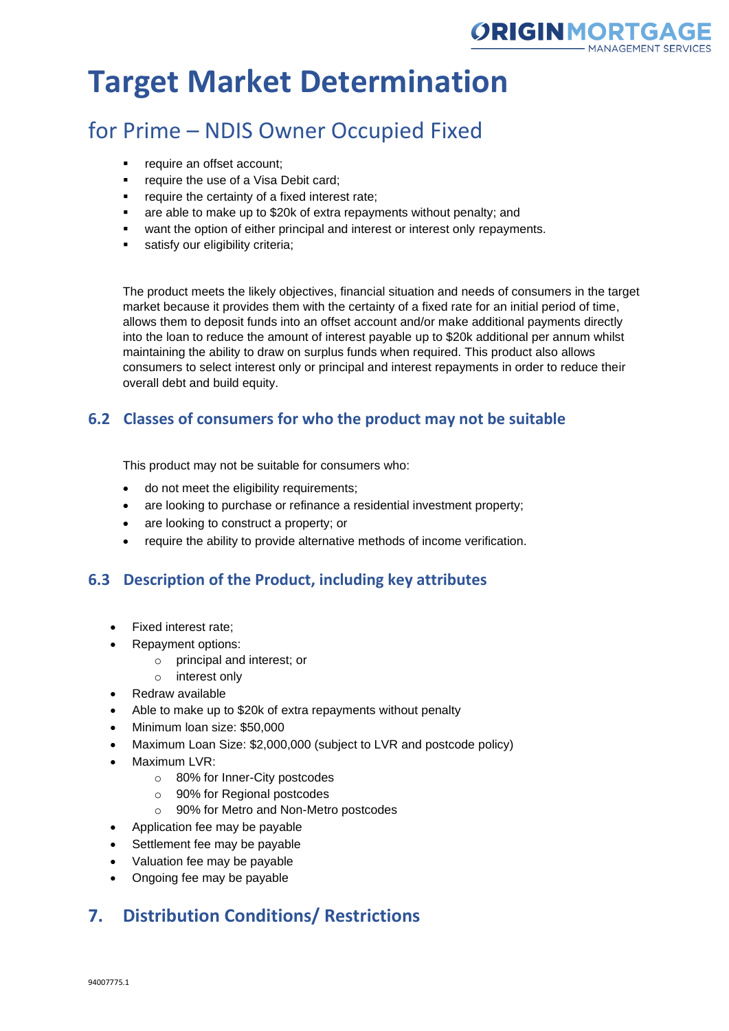

## for Prime – NDIS Owner Occupied Fixed

- require an offset account;
- require the use of a Visa Debit card;
- require the certainty of a fixed interest rate;
- are able to make up to \$20k of extra repayments without penalty; and
- want the option of either principal and interest or interest only repayments.
- satisfy our eligibility criteria;

The product meets the likely objectives, financial situation and needs of consumers in the target market because it provides them with the certainty of a fixed rate for an initial period of time, allows them to deposit funds into an offset account and/or make additional payments directly into the loan to reduce the amount of interest payable up to \$20k additional per annum whilst maintaining the ability to draw on surplus funds when required. This product also allows consumers to select interest only or principal and interest repayments in order to reduce their overall debt and build equity.

### **6.2 Classes of consumers for who the product may not be suitable**

This product may not be suitable for consumers who:

- do not meet the eligibility requirements;
- are looking to purchase or refinance a residential investment property;
- are looking to construct a property; or
- require the ability to provide alternative methods of income verification.

### **6.3 Description of the Product, including key attributes**

- Fixed interest rate;
- Repayment options:
	- o principal and interest; or
	- o interest only
- Redraw available
- Able to make up to \$20k of extra repayments without penalty
- Minimum loan size: \$50,000
- Maximum Loan Size: \$2,000,000 (subject to LVR and postcode policy)
- Maximum LVR:
	- o 80% for Inner-City postcodes
	- o 90% for Regional postcodes
	- o 90% for Metro and Non-Metro postcodes
- Application fee may be payable
- Settlement fee may be payable
- Valuation fee may be payable
- Ongoing fee may be payable

### **7. Distribution Conditions/ Restrictions**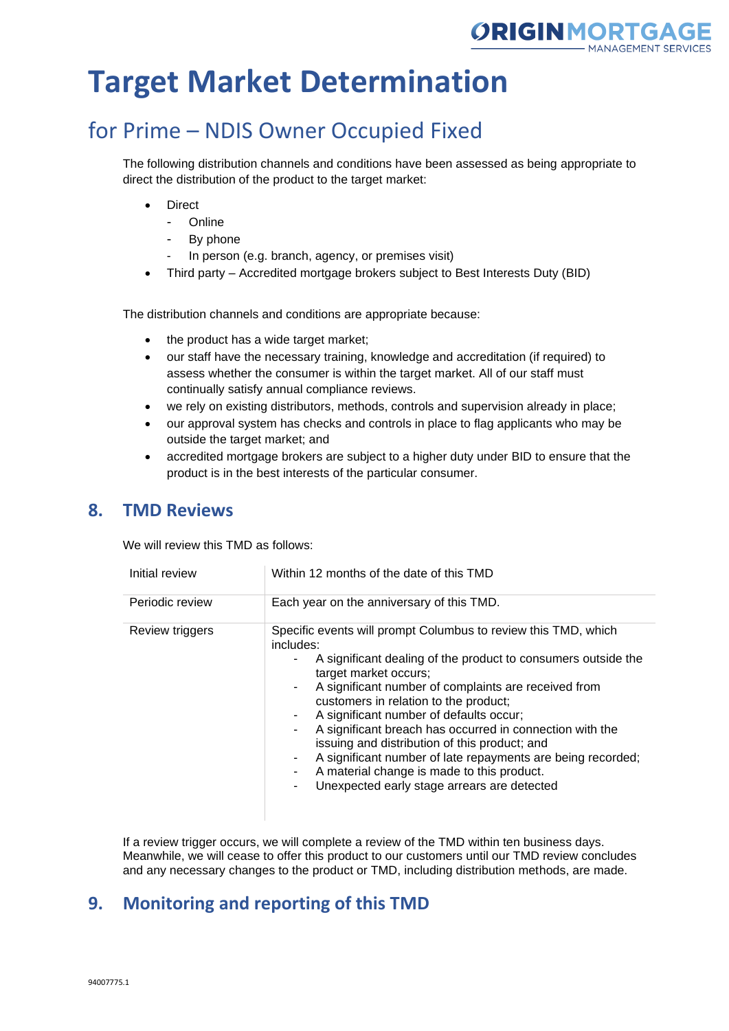

## for Prime – NDIS Owner Occupied Fixed

The following distribution channels and conditions have been assessed as being appropriate to direct the distribution of the product to the target market:

- **Direct** 
	- Online
	- By phone
	- In person (e.g. branch, agency, or premises visit)
- Third party Accredited mortgage brokers subject to Best Interests Duty (BID)

The distribution channels and conditions are appropriate because:

- the product has a wide target market;
- our staff have the necessary training, knowledge and accreditation (if required) to assess whether the consumer is within the target market. All of our staff must continually satisfy annual compliance reviews.
- we rely on existing distributors, methods, controls and supervision already in place;
- our approval system has checks and controls in place to flag applicants who may be outside the target market; and
- accredited mortgage brokers are subject to a higher duty under BID to ensure that the product is in the best interests of the particular consumer.

#### **8. TMD Reviews**

We will review this TMD as follows:

| Initial review  | Within 12 months of the date of this TMD                                                                                                                                                                                                                                                                                                                                                                                                                                                                                                                                                                   |  |
|-----------------|------------------------------------------------------------------------------------------------------------------------------------------------------------------------------------------------------------------------------------------------------------------------------------------------------------------------------------------------------------------------------------------------------------------------------------------------------------------------------------------------------------------------------------------------------------------------------------------------------------|--|
| Periodic review | Each year on the anniversary of this TMD.                                                                                                                                                                                                                                                                                                                                                                                                                                                                                                                                                                  |  |
| Review triggers | Specific events will prompt Columbus to review this TMD, which<br>includes:<br>A significant dealing of the product to consumers outside the<br>target market occurs;<br>A significant number of complaints are received from<br>customers in relation to the product;<br>A significant number of defaults occur;<br>A significant breach has occurred in connection with the<br>$\sim$<br>issuing and distribution of this product; and<br>A significant number of late repayments are being recorded;<br>A material change is made to this product.<br>Unexpected early stage arrears are detected<br>۰. |  |

If a review trigger occurs, we will complete a review of the TMD within ten business days. Meanwhile, we will cease to offer this product to our customers until our TMD review concludes and any necessary changes to the product or TMD, including distribution methods, are made.

### **9. Monitoring and reporting of this TMD**